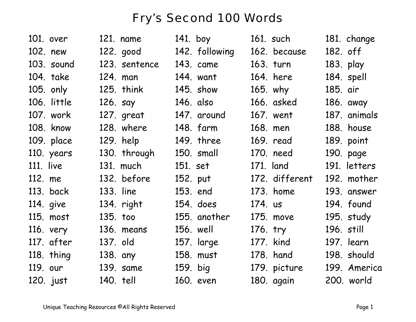## Fry's Second 100 Words

| 101. over   | 121. name     | 141. boy       | 161. such      | 181. change  |
|-------------|---------------|----------------|----------------|--------------|
| 102. new    | 122. good     | 142. following | 162. because   | 182. off     |
| 103. sound  | 123. sentence | 143. came      | 163. turn      | 183. play    |
| 104. take   | 124. man      | 144. want      | 164. here      | 184. spell   |
| 105. only   | 125. think    | 145. show      | 165. why       | 185. air     |
| 106. little | 126. say      | 146. also      | 166. asked     | 186. away    |
| 107. work   | 127. great    | 147. around    | 167. went      | 187. animals |
| 108. know   | 128. where    | 148. farm      | 168. men       | 188. house   |
| 109. place  | 129. help     | 149. three     | 169. read      | 189. point   |
| 110. years  | 130. through  | 150. small     | 170. need      | 190. page    |
| $111.$ live | 131. much     | 151. set       | 171. land      | 191. letters |
| 112. me     | 132. before   | 152. put       | 172. different | 192. mother  |
| 113. back   | 133. line     | 153. end       | 173. home      | 193. answer  |
| 114. give   | 134. right    | 154. does      | 174. us        | 194. found   |
| 115. most   | 135. too      | 155. another   | 175. move      | 195. study   |
| 116. very   | 136. means    | 156. well      | 176. try       | 196. still   |
| 117. after  | 137. old      | 157. large     | 177. kind      | 197. learn   |
| 118. thing  | 138. any      | 158. must      | 178. hand      | 198. should  |
| 119. our    | 139. same     | 159. big       | 179. picture   | 199. America |
| 120. just   | 140. tell     | 160. even      | 180. again     | 200. world   |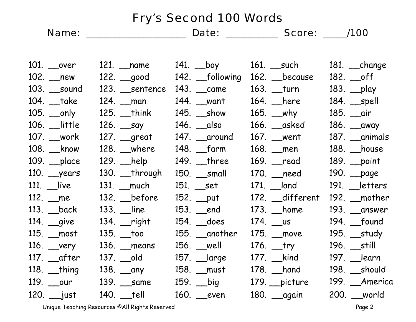| <b>Fry's Second 100 Words</b> |                   |                           |                                  |                     |                                  |
|-------------------------------|-------------------|---------------------------|----------------------------------|---------------------|----------------------------------|
|                               |                   |                           |                                  |                     |                                  |
|                               |                   |                           |                                  |                     |                                  |
|                               | 101. __over       |                           | 121. __name           141. __boy | 161. __such         | $181.$ <i>___</i> change         |
|                               | 102. __new        |                           | 122. good 142. following         | 162. because        | 182. __off                       |
|                               | 103. __sound      | 123. Sentence             | 143. __came                      | 163. __turn         | 183. __play                      |
|                               | 104. __take       | 124. _man                 | 144. __want                      | 164. _here          | $184.$ $\_\_$ spell              |
|                               | 105. __only       | $125.$ $\_$ think         | 145. __show                      | 165. __why          | 185. __air                       |
|                               | 106. __little     | 126. __say                | 146. __also                      | $166.$ $\_\_$ asked | 186. __away                      |
|                               | 107. __work       | 127. __great              | 147. around                      | 167. _went          | 187. __animals                   |
|                               | 108. __know       | $128.$ _where             | 148. __farm                      | 168. _men           | 188. _house                      |
|                               | 109. __place      | 129. _help                | $149.$ __three                   | 169. _read          | 189. _point                      |
|                               | 110. years        | $130.$ __through          | 150. small                       | 170. __need         | 190. __page                      |
|                               | 111. __live       | 131. _much                | 151. _set                        | 171. <u>Jand</u>    | 191. etters                      |
|                               | 112. _me          | $132.$ before             | 152. __put                       | 172. _different     | 192. $\rule{1em}{0.15mm}$ mother |
|                               | 113. __back       | $133.$ $\quad$ line       | 153. _end                        | 173. _home          | 193. __answer                    |
|                               | 114. <u>g</u> ive | 134. __right              | 154. _does                       | 174. __us           | 194. <u>__</u> found             |
|                               | 115. _most        | 135. __too                | 155. __another                   | 175. __move         | 195. <u>study</u>                |
|                               | 116. _very        | 136. <u>means</u>         | 156. _well                       | 176. __try          | 196. __still                     |
|                               | 117. __after      | 137. ___old               | 157. ___large                    | 177. __kind         | 197. __learn                     |
|                               | $118.$ __thing    | 138. __any                | 158. _must                       | 178. __hand         | 198. __should                    |
|                               |                   | 119. __our    139. __same | 159. __big                       | 179. __picture      | 199. _America                    |
|                               | 120. ___just      | $140.$ __tell             | 160. _even                       | 180. <u>gaain</u>   | 200. world                       |

Unique Teaching Resources ©All Rights Reserved entitled and the Second Page 2 Page 2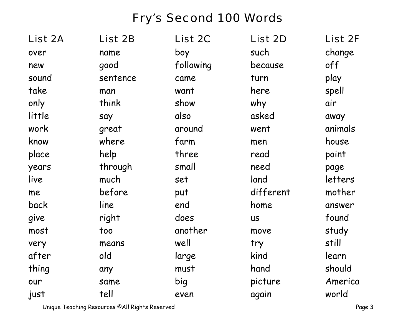## Fry's Second 100 Words

| List 2A | List 2B  | <b>List 2C</b> | List 2D   | <b>List 2F</b> |
|---------|----------|----------------|-----------|----------------|
| over    | name     | boy            | such      | change         |
| new     | good     | following      | because   | off            |
| sound   | sentence | came           | turn      | play           |
| take    | man      | want           | here      | spell          |
| only    | think    | show           | why       | air            |
| little  | say      | also           | asked     | away           |
| work    | great    | around         | went      | animals        |
| know    | where    | farm           | men       | house          |
| place   | help     | three          | read      | point          |
| years   | through  | small          | need      | page           |
| live    | much     | set            | land      | letters        |
| me      | before   | put            | different | mother         |
| back    | line     | end            | home      | answer         |
| give    | right    | does           | <b>US</b> | found          |
| most    | too      | another        | move      | study          |
| very    | means    | well           | try       | still          |
| after   | old      | large          | kind      | learn          |
| thing   | any      | must           | hand      | should         |
| our     | same     | big            | picture   | America        |
| just    | tell     | even           | again     | world          |

Unique Teaching Resources ©All Rights Reserved entitled the state of the Page 3 Page 3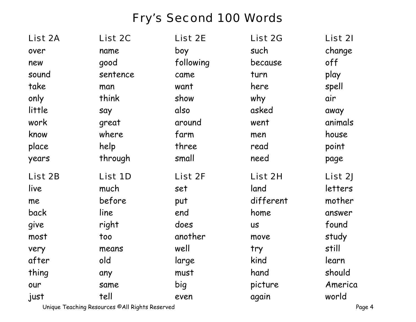## Fry's Second 100 Words

| List 2A | List 2C  | List 2E   | List 2G   | List 21 |
|---------|----------|-----------|-----------|---------|
| over    | name     | boy       | such      | change  |
| new     | good     | following | because   | off     |
| sound   | sentence | came      | turn      | play    |
| take    | man      | want      | here      | spell   |
| only    | think    | show      | why       | air     |
| little  | say      | also      | asked     | away    |
| work    | great    | around    | went      | animals |
| know    | where    | farm      | men       | house   |
| place   | help     | three     | read      | point   |
| years   | through  | small     | need      | page    |
|         |          |           |           |         |
| List 2B | List 1D  | List 2F   | List 2H   | List 2J |
| live    | much     | set       | land      | letters |
| me      | before   | put       | different | mother  |
| back    | line     | end       | home      | answer  |
| give    | right    | does      | <b>US</b> | found   |
| most    | too      | another   | move      | study   |
| very    | means    | well      | try       | still   |
| after   | old      | large     | kind      | learn   |
| thing   | any      | must      | hand      | should  |
| our     | same     | big       | picture   | America |

Unique Teaching Resources ©All Rights Reserved entitled the state of the Page 4 and 2011 and 2012 and 2013 and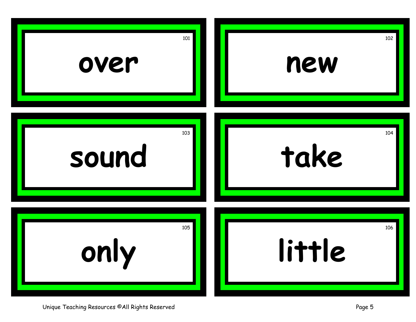

Unique Teaching Resources ©All Rights Reserved **Page 5** Page 5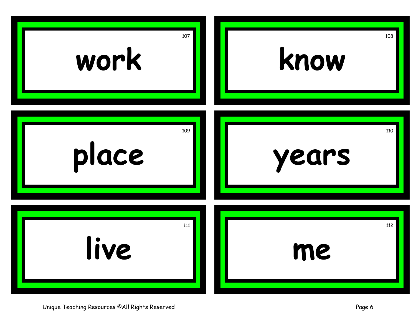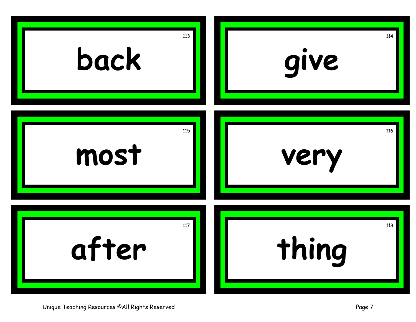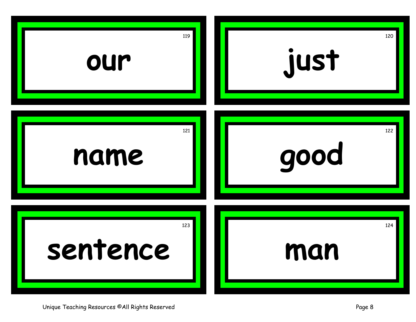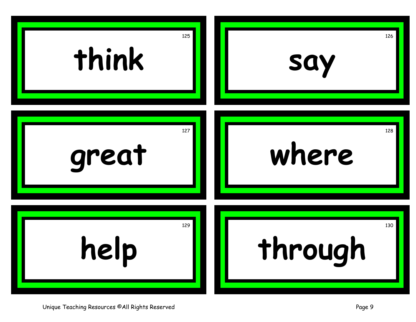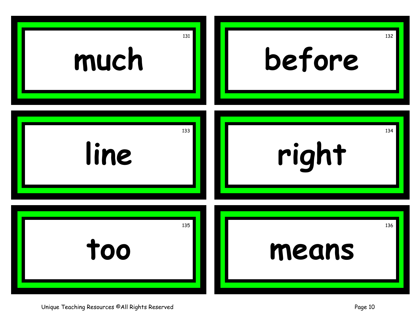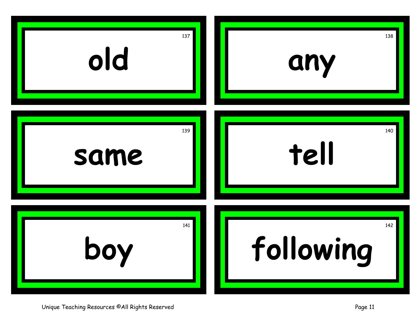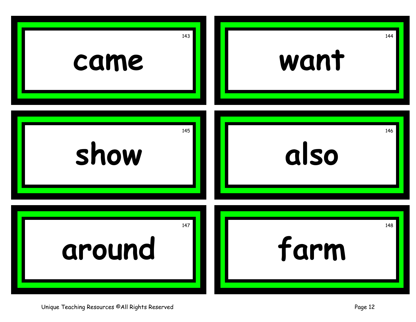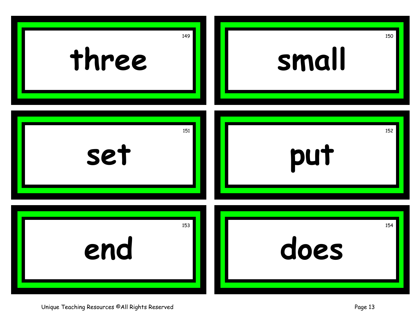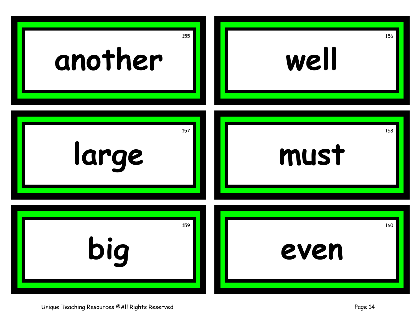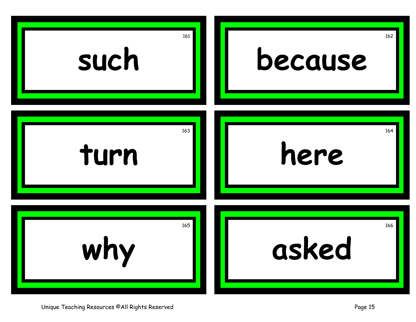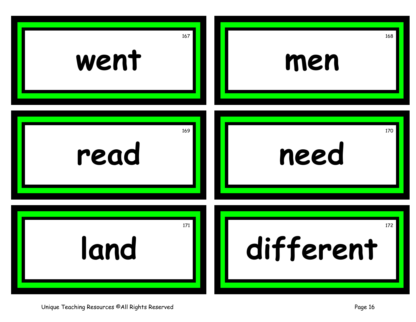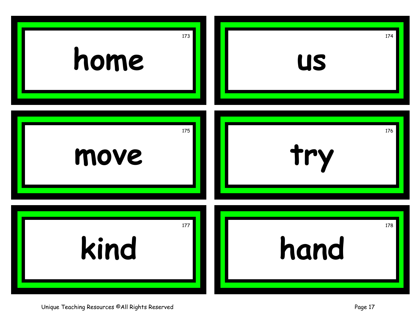

Unique Teaching Resources ©All Rights Reserved **Page 17** November 2014 17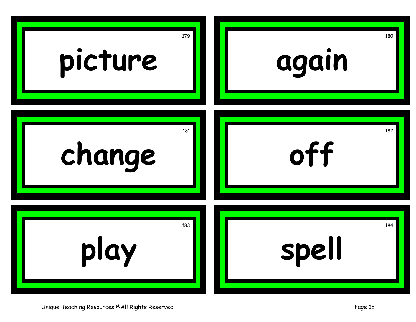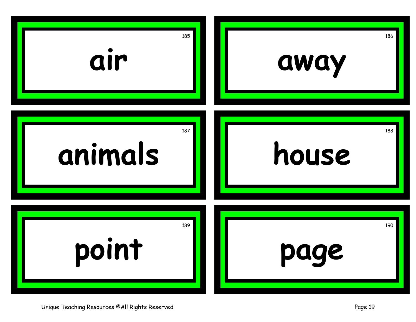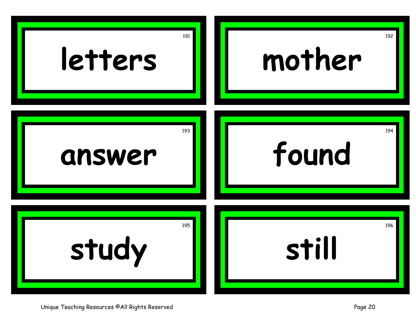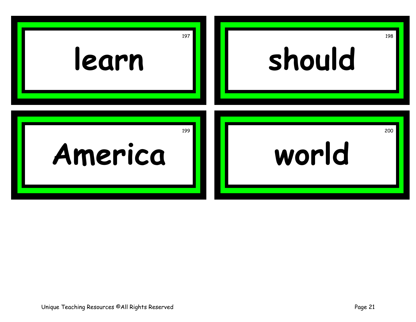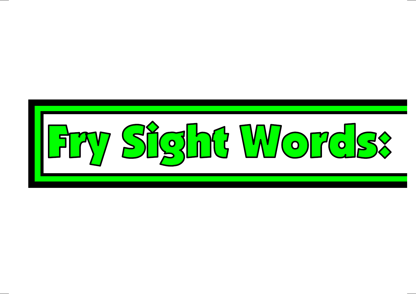